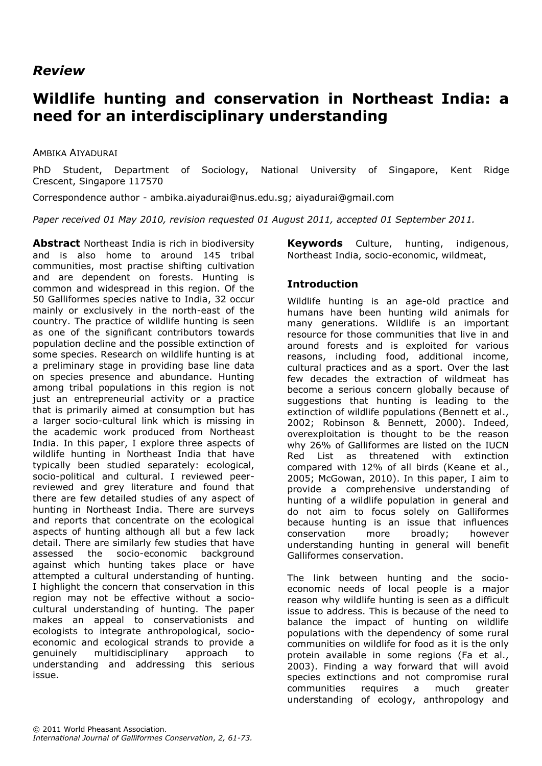# *Review*

# **Wildlife hunting and conservation in Northeast India: a need for an interdisciplinary understanding**

#### AMBIKA AIYADURAI

PhD Student, Department of Sociology, National University of Singapore, Kent Ridge Crescent, Singapore 117570

Correspondence author - [ambika.aiyadurai@nus.edu.sg;](mailto:ambika.aiyadurai@nus.edu.sg) [aiyadurai@gmail.com](file:///C:/Users/Natalie/Downloads/aiyadurai@gmail.com)

*Paper received 01 May 2010, revision requested 01 August 2011, accepted 01 September 2011.*

**Abstract** Northeast India is rich in biodiversity and is also home to around 145 tribal communities, most practise shifting cultivation and are dependent on forests. Hunting is common and widespread in this region. Of the 50 Galliformes species native to India, 32 occur mainly or exclusively in the north-east of the country. The practice of wildlife hunting is seen as one of the significant contributors towards population decline and the possible extinction of some species. Research on wildlife hunting is at a preliminary stage in providing base line data on species presence and abundance. Hunting among tribal populations in this region is not just an entrepreneurial activity or a practice that is primarily aimed at consumption but has a larger socio-cultural link which is missing in the academic work produced from Northeast India. In this paper, I explore three aspects of wildlife hunting in Northeast India that have typically been studied separately: ecological, socio-political and cultural. I reviewed peerreviewed and grey literature and found that there are few detailed studies of any aspect of hunting in Northeast India. There are surveys and reports that concentrate on the ecological aspects of hunting although all but a few lack detail. There are similarly few studies that have assessed the socio-economic background against which hunting takes place or have attempted a cultural understanding of hunting. I highlight the concern that conservation in this region may not be effective without a sociocultural understanding of hunting. The paper makes an appeal to conservationists and ecologists to integrate anthropological, socioeconomic and ecological strands to provide a genuinely multidisciplinary approach to understanding and addressing this serious issue.

**Keywords** Culture, hunting, indigenous, Northeast India, socio-economic, wildmeat,

# **Introduction**

Wildlife hunting is an age-old practice and humans have been hunting wild animals for many generations. Wildlife is an important resource for those communities that live in and around forests and is exploited for various reasons, including food, additional income, cultural practices and as a sport. Over the last few decades the extraction of wildmeat has become a serious concern globally because of suggestions that hunting is leading to the extinction of wildlife populations (Bennett et al., 2002; Robinson & Bennett, 2000). Indeed, overexploitation is thought to be the reason why 26% of Galliformes are listed on the IUCN Red List as threatened with extinction compared with 12% of all birds (Keane et al., 2005; McGowan, 2010). In this paper, I aim to provide a comprehensive understanding of hunting of a wildlife population in general and do not aim to focus solely on Galliformes because hunting is an issue that influences conservation more broadly; however understanding hunting in general will benefit Galliformes conservation.

The link between hunting and the socioeconomic needs of local people is a major reason why wildlife hunting is seen as a difficult issue to address. This is because of the need to balance the impact of hunting on wildlife populations with the dependency of some rural communities on wildlife for food as it is the only protein available in some regions (Fa et al., 2003). Finding a way forward that will avoid species extinctions and not compromise rural communities requires a much greater understanding of ecology, anthropology and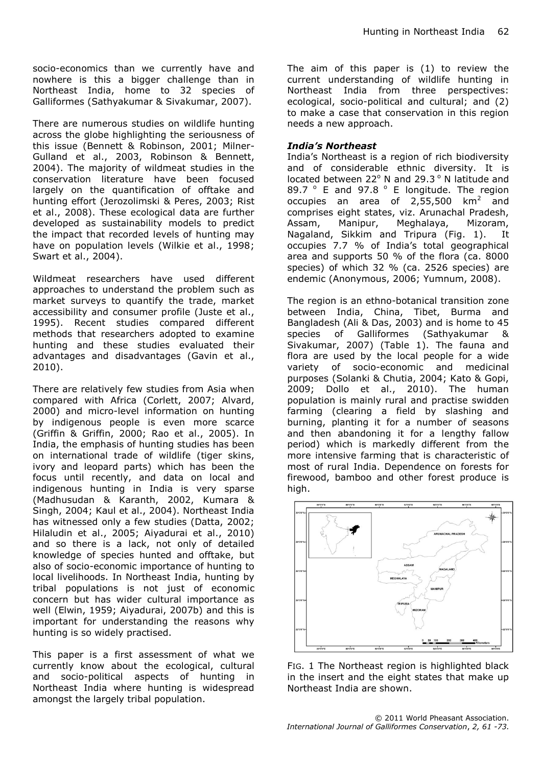socio-economics than we currently have and nowhere is this a bigger challenge than in Northeast India, home to 32 species of Galliformes (Sathyakumar & Sivakumar, 2007).

There are numerous studies on wildlife hunting across the globe highlighting the seriousness of this issue (Bennett & Robinson, 2001; Milner-Gulland et al., 2003, Robinson & Bennett, 2004). The majority of wildmeat studies in the conservation literature have been focused largely on the quantification of offtake and hunting effort (Jerozolimski & Peres, 2003; Rist et al., 2008). These ecological data are further developed as sustainability models to predict the impact that recorded levels of hunting may have on population levels (Wilkie et al., 1998; Swart et al., 2004).

Wildmeat researchers have used different approaches to understand the problem such as market surveys to quantify the trade, market accessibility and consumer profile (Juste et al., 1995). Recent studies compared different methods that researchers adopted to examine hunting and these studies evaluated their advantages and disadvantages (Gavin et al., 2010).

There are relatively few studies from Asia when compared with Africa (Corlett, 2007; Alvard, 2000) and micro-level information on hunting by indigenous people is even more scarce (Griffin & Griffin, 2000; Rao et al., 2005). In India, the emphasis of hunting studies has been on international trade of wildlife (tiger skins, ivory and leopard parts) which has been the focus until recently, and data on local and indigenous hunting in India is very sparse (Madhusudan & Karanth, 2002, Kumara & Singh, 2004; Kaul et al., 2004). Northeast India has witnessed only a few studies (Datta, 2002; Hilaludin et al., 2005; Aiyadurai et al., 2010) and so there is a lack, not only of detailed knowledge of species hunted and offtake, but also of socio-economic importance of hunting to local livelihoods. In Northeast India, hunting by tribal populations is not just of economic concern but has wider cultural importance as well (Elwin, 1959; Aiyadurai, 2007b) and this is important for understanding the reasons why hunting is so widely practised.

This paper is a first assessment of what we currently know about the ecological, cultural and socio-political aspects of hunting in Northeast India where hunting is widespread amongst the largely tribal population.

The aim of this paper is (1) to review the current understanding of wildlife hunting in Northeast India from three perspectives: ecological, socio-political and cultural; and (2) to make a case that conservation in this region needs a new approach.

#### *India's Northeast*

India's Northeast is a region of rich biodiversity and of considerable ethnic diversity. It is located between  $22^{\circ}$  N and  $29.3^{\circ}$  N latitude and 89.7 ° E and 97.8 ° E longitude. The region occupies an area of  $2,55,500$  km<sup>2</sup> and comprises eight states, viz. Arunachal Pradesh, Assam, Manipur, Meghalaya, Mizoram, Nagaland, Sikkim and Tripura (Fig. 1). It occupies 7.7 % of India's total geographical area and supports 50 % of the flora (ca. 8000 species) of which 32 % (ca. 2526 species) are endemic (Anonymous, 2006; Yumnum, 2008).

The region is an ethno-botanical transition zone between India, China, Tibet, Burma and Bangladesh (Ali & Das, 2003) and is home to 45 species of Galliformes (Sathyakumar & Sivakumar, 2007) (Table 1). The fauna and flora are used by the local people for a wide variety of socio-economic and medicinal purposes (Solanki & Chutia, 2004; Kato & Gopi, 2009; Dollo et al., 2010). The human population is mainly rural and practise swidden farming (clearing a field by slashing and burning, planting it for a number of seasons and then abandoning it for a lengthy fallow period) which is markedly different from the more intensive farming that is characteristic of most of rural India. Dependence on forests for firewood, bamboo and other forest produce is high.



FIG. 1 The Northeast region is highlighted black in the insert and the eight states that make up Northeast India are shown.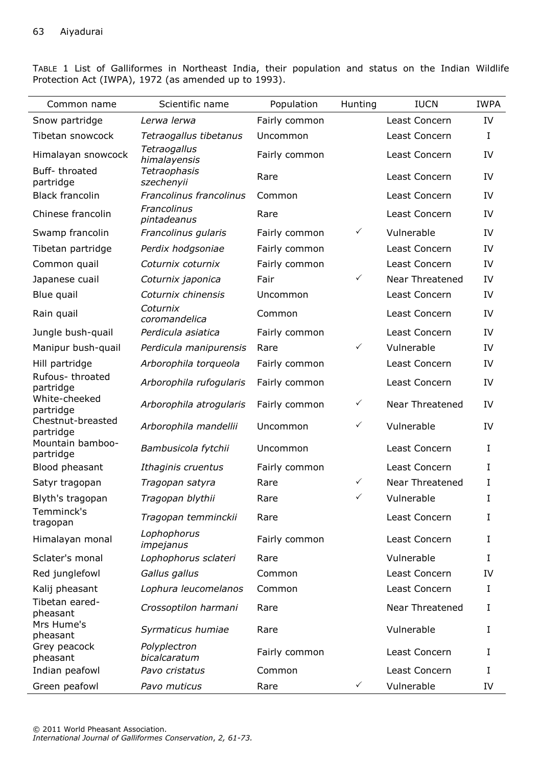TABLE 1 List of Galliformes in Northeast India, their population and status on the Indian Wildlife Protection Act (IWPA), 1972 (as amended up to 1993).

| Common name                    | Scientific name              | Population    | Hunting      | <b>IUCN</b>            | <b>IWPA</b> |
|--------------------------------|------------------------------|---------------|--------------|------------------------|-------------|
| Snow partridge                 | Lerwa lerwa                  | Fairly common |              | Least Concern          | IV          |
| Tibetan snowcock               | Tetraogallus tibetanus       | Uncommon      |              | Least Concern          | $\bf I$     |
| Himalayan snowcock             | Tetraogallus<br>himalayensis | Fairly common |              | Least Concern          | IV          |
| Buff-throated<br>partridge     | Tetraophasis<br>szechenyii   | Rare          |              | Least Concern          | IV          |
| <b>Black francolin</b>         | Francolinus francolinus      | Common        |              | Least Concern          | IV          |
| Chinese francolin              | Francolinus<br>pintadeanus   | Rare          |              | Least Concern          | IV          |
| Swamp francolin                | Francolinus gularis          | Fairly common | $\checkmark$ | Vulnerable             | IV          |
| Tibetan partridge              | Perdix hodgsoniae            | Fairly common |              | Least Concern          | IV          |
| Common quail                   | Coturnix coturnix            | Fairly common |              | Least Concern          | IV          |
| Japanese cuail                 | Coturnix japonica            | Fair          | $\checkmark$ | <b>Near Threatened</b> | IV          |
| Blue quail                     | Coturnix chinensis           | Uncommon      |              | Least Concern          | IV          |
| Rain quail                     | Coturnix<br>coromandelica    | Common        |              | Least Concern          | IV          |
| Jungle bush-quail              | Perdicula asiatica           | Fairly common |              | Least Concern          | IV          |
| Manipur bush-quail             | Perdicula manipurensis       | Rare          | $\checkmark$ | Vulnerable             | IV          |
| Hill partridge                 | Arborophila torqueola        | Fairly common |              | Least Concern          | IV          |
| Rufous-throated<br>partridge   | Arborophila rufogularis      | Fairly common |              | Least Concern          | IV          |
| White-cheeked<br>partridge     | Arborophila atrogularis      | Fairly common | $\checkmark$ | Near Threatened        | IV          |
| Chestnut-breasted<br>partridge | Arborophila mandellii        | Uncommon      | $\checkmark$ | Vulnerable             | IV          |
| Mountain bamboo-<br>partridge  | Bambusicola fytchii          | Uncommon      |              | Least Concern          | $\mathbf I$ |
| Blood pheasant                 | Ithaginis cruentus           | Fairly common |              | Least Concern          | I           |
| Satyr tragopan                 | Tragopan satyra              | Rare          | $\checkmark$ | Near Threatened        | I           |
| Blyth's tragopan               | Tragopan blythii             | Rare          | $\checkmark$ | Vulnerable             | I           |
| Temminck's<br>tragopan         | Tragopan temminckii          | Rare          |              | Least Concern          | I           |
| Himalayan monal                | Lophophorus<br>impejanus     | Fairly common |              | Least Concern          | I           |
| Sclater's monal                | Lophophorus sclateri         | Rare          |              | Vulnerable             | $\rm I$     |
| Red junglefowl                 | Gallus gallus                | Common        |              | Least Concern          | IV          |
| Kalij pheasant                 | Lophura leucomelanos         | Common        |              | Least Concern          | $\bf I$     |
| Tibetan eared-<br>pheasant     | Crossoptilon harmani         | Rare          |              | Near Threatened        | I           |
| Mrs Hume's<br>pheasant         | Syrmaticus humiae            | Rare          |              | Vulnerable             | I           |
| Grey peacock<br>pheasant       | Polyplectron<br>bicalcaratum | Fairly common |              | Least Concern          | I           |
| Indian peafowl                 | Pavo cristatus               | Common        |              | Least Concern          | I           |
| Green peafowl                  | Pavo muticus                 | Rare          | $\checkmark$ | Vulnerable             | IV          |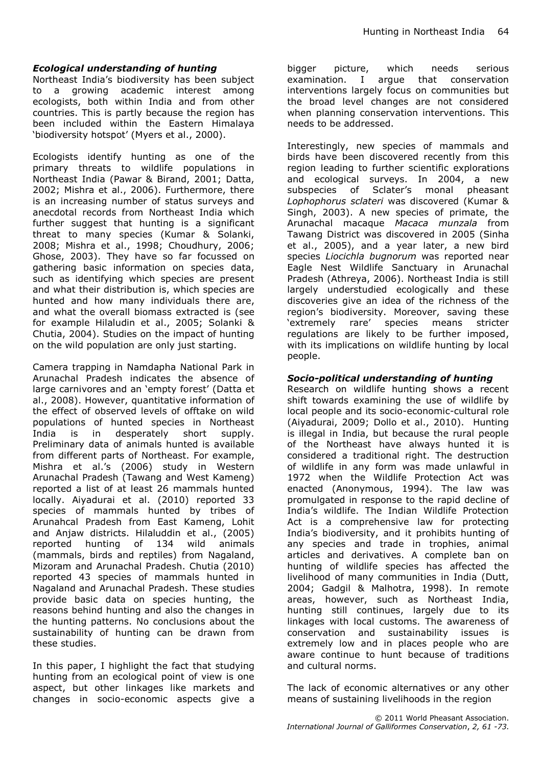#### *Ecological understanding of hunting*

Northeast India's biodiversity has been subject to a growing academic interest among ecologists, both within India and from other countries. This is partly because the region has been included within the Eastern Himalaya 'biodiversity hotspot' (Myers et al., 2000).

Ecologists identify hunting as one of the primary threats to wildlife populations in Northeast India (Pawar & Birand, 2001; Datta, 2002; Mishra et al., 2006). Furthermore, there is an increasing number of status surveys and anecdotal records from Northeast India which further suggest that hunting is a significant threat to many species (Kumar & Solanki, 2008; Mishra et al., 1998; Choudhury, 2006; Ghose, 2003). They have so far focussed on gathering basic information on species data, such as identifying which species are present and what their distribution is, which species are hunted and how many individuals there are, and what the overall biomass extracted is (see for example Hilaludin et al., 2005; Solanki & Chutia, 2004). Studies on the impact of hunting on the wild population are only just starting.

Camera trapping in Namdapha National Park in Arunachal Pradesh indicates the absence of large carnivores and an 'empty forest' (Datta et al., 2008). However, quantitative information of the effect of observed levels of offtake on wild populations of hunted species in Northeast India is in desperately short supply. Preliminary data of animals hunted is available from different parts of Northeast. For example, Mishra et al.'s (2006) study in Western Arunachal Pradesh (Tawang and West Kameng) reported a list of at least 26 mammals hunted locally. Aiyadurai et al. (2010) reported 33 species of mammals hunted by tribes of Arunahcal Pradesh from East Kameng, Lohit and Anjaw districts. Hilaluddin et al., (2005) reported hunting of 134 wild animals (mammals, birds and reptiles) from Nagaland, Mizoram and Arunachal Pradesh. Chutia (2010) reported 43 species of mammals hunted in Nagaland and Arunachal Pradesh. These studies provide basic data on species hunting, the reasons behind hunting and also the changes in the hunting patterns. No conclusions about the sustainability of hunting can be drawn from these studies.

In this paper, I highlight the fact that studying hunting from an ecological point of view is one aspect, but other linkages like markets and changes in socio-economic aspects give a bigger picture, which needs serious examination. I argue that conservation interventions largely focus on communities but the broad level changes are not considered when planning conservation interventions. This needs to be addressed.

Interestingly, new species of mammals and birds have been discovered recently from this region leading to further scientific explorations and ecological surveys. In 2004, a new subspecies of Sclater's monal pheasant *Lophophorus sclateri* was discovered (Kumar & Singh, 2003). A new species of primate, the Arunachal macaque *Macaca munzala* from Tawang District was discovered in 2005 (Sinha et al., 2005), and a year later, a new bird species *Liocichla bugnorum* was reported near Eagle Nest Wildlife Sanctuary in Arunachal Pradesh (Athreya, 2006). Northeast India is still largely understudied ecologically and these discoveries give an idea of the richness of the region's biodiversity. Moreover, saving these 'extremely rare' species means stricter regulations are likely to be further imposed, with its implications on wildlife hunting by local people.

#### *Socio-political understanding of hunting*

Research on wildlife hunting shows a recent shift towards examining the use of wildlife by local people and its socio-economic-cultural role (Aiyadurai, 2009; Dollo et al., 2010). Hunting is illegal in India, but because the rural people of the Northeast have always hunted it is considered a traditional right. The destruction of wildlife in any form was made unlawful in 1972 when the Wildlife Protection Act was enacted (Anonymous, 1994). The law was promulgated in response to the rapid decline of India's wildlife. The Indian Wildlife Protection Act is a comprehensive law for protecting India's biodiversity, and it prohibits hunting of any species and trade in trophies, animal articles and derivatives. A complete ban on hunting of wildlife species has affected the livelihood of many communities in India (Dutt, 2004; Gadgil & Malhotra, 1998). In remote areas, however, such as Northeast India, hunting still continues, largely due to its linkages with local customs. The awareness of conservation and sustainability issues is extremely low and in places people who are aware continue to hunt because of traditions and cultural norms.

The lack of economic alternatives or any other means of sustaining livelihoods in the region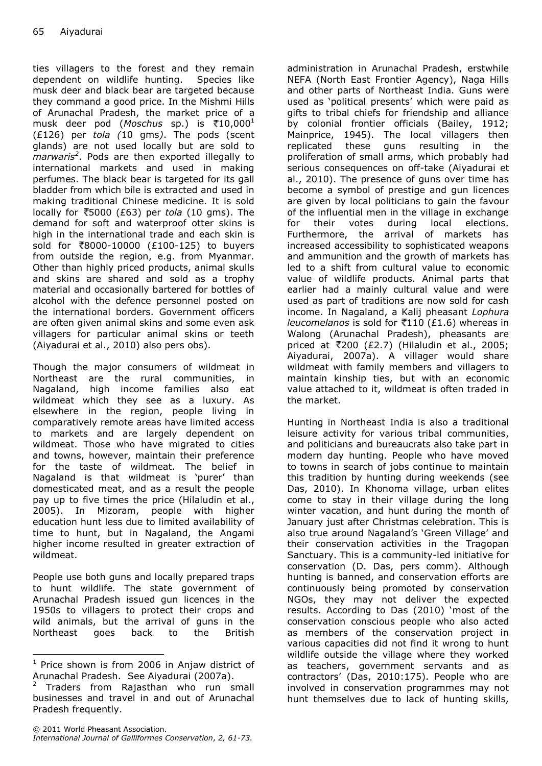ties villagers to the forest and they remain dependent on wildlife hunting. Species like musk deer and black bear are targeted because they command a good price. In the Mishmi Hills of Arunachal Pradesh, the market price of a musk deer pod (Moschus sp.) is ₹10,000<sup>1</sup> (£126) per *tola (*10 gms*)*. The pods (scent glands) are not used locally but are sold to *marwaris<sup>2</sup>* . Pods are then exported illegally to international markets and used in making perfumes. The black bear is targeted for its gall bladder from which bile is extracted and used in making traditional Chinese medicine. It is sold locally for [5](http://en.wikipedia.org/wiki/Indian_rupee)000 (£63) per *tola* (10 gms). The demand for soft and waterproof otter skins is high in the international trade and each skin is sold for [8](http://en.wikipedia.org/wiki/Indian_rupee)000-10000 (£100-125) to buyers from outside the region, e.g. from Myanmar. Other than highly priced products, animal skulls and skins are shared and sold as a trophy material and occasionally bartered for bottles of alcohol with the defence personnel posted on the international borders. Government officers are often given animal skins and some even ask villagers for particular animal skins or teeth (Aiyadurai et al., 2010) also pers obs).

Though the major consumers of wildmeat in Northeast are the rural communities, in Nagaland, high income families also eat wildmeat which they see as a luxury. As elsewhere in the region, people living in comparatively remote areas have limited access to markets and are largely dependent on wildmeat. Those who have migrated to cities and towns, however, maintain their preference for the taste of wildmeat. The belief in Nagaland is that wildmeat is 'purer' than domesticated meat, and as a result the people pay up to five times the price (Hilaludin et al., 2005). In Mizoram, people with higher education hunt less due to limited availability of time to hunt, but in Nagaland, the Angami higher income resulted in greater extraction of wildmeat.

People use both guns and locally prepared traps to hunt wildlife. The state government of Arunachal Pradesh issued gun licences in the 1950s to villagers to protect their crops and wild animals, but the arrival of guns in the Northeast goes back to the British

-

administration in Arunachal Pradesh, erstwhile NEFA (North East Frontier Agency), Naga Hills and other parts of Northeast India. Guns were used as 'political presents' which were paid as gifts to tribal chiefs for friendship and alliance by colonial frontier officials (Bailey, 1912; Mainprice, 1945). The local villagers then replicated these guns resulting in the proliferation of small arms, which probably had serious consequences on off-take (Aiyadurai et al., 2010). The presence of guns over time has become a symbol of prestige and gun licences are given by local politicians to gain the favour of the influential men in the village in exchange for their votes during local elections. Furthermore, the arrival of markets has increased accessibility to sophisticated weapons and ammunition and the growth of markets has led to a shift from cultural value to economic value of wildlife products. Animal parts that earlier had a mainly cultural value and were used as part of traditions are now sold for cash income. In Nagaland, a Kalij pheasant *Lophura leucomelanos* is sold for ₹[1](http://en.wikipedia.org/wiki/Indian_rupee)10 (£1.6) whereas in Walong (Arunachal Pradesh), pheasants are priced at  $\overline{\xi}$ [2](http://en.wikipedia.org/wiki/Indian_rupee)00 (£2.7) (Hilaludin et al., 2005; Aiyadurai, 2007a). A villager would share wildmeat with family members and villagers to maintain kinship ties, but with an economic value attached to it, wildmeat is often traded in the market.

Hunting in Northeast India is also a traditional leisure activity for various tribal communities, and politicians and bureaucrats also take part in modern day hunting. People who have moved to towns in search of jobs continue to maintain this tradition by hunting during weekends (see Das, 2010). In Khonoma village, urban elites come to stay in their village during the long winter vacation, and hunt during the month of January just after Christmas celebration. This is also true around Nagaland's 'Green Village' and their conservation activities in the Tragopan Sanctuary. This is a community-led initiative for conservation (D. Das, pers comm). Although hunting is banned, and conservation efforts are continuously being promoted by conservation NGOs, they may not deliver the expected results. According to Das (2010) 'most of the conservation conscious people who also acted as members of the conservation project in various capacities did not find it wrong to hunt wildlife outside the village where they worked as teachers, government servants and as contractors' (Das, 2010:175). People who are involved in conservation programmes may not hunt themselves due to lack of hunting skills,

 $1$  Price shown is from 2006 in Anjaw district of Arunachal Pradesh. See Aiyadurai (2007a).

<sup>2</sup> Traders from Rajasthan who run small businesses and travel in and out of Arunachal Pradesh frequently.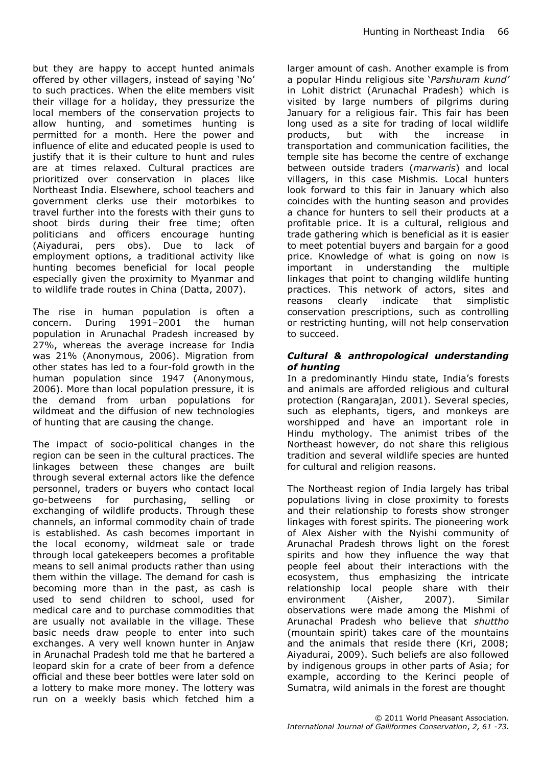but they are happy to accept hunted animals offered by other villagers, instead of saying 'No' to such practices. When the elite members visit their village for a holiday, they pressurize the local members of the conservation projects to allow hunting, and sometimes hunting is permitted for a month. Here the power and influence of elite and educated people is used to justify that it is their culture to hunt and rules are at times relaxed. Cultural practices are prioritized over conservation in places like Northeast India. Elsewhere, school teachers and government clerks use their motorbikes to travel further into the forests with their guns to shoot birds during their free time; often politicians and officers encourage hunting (Aiyadurai, pers obs). Due to lack of employment options, a traditional activity like hunting becomes beneficial for local people especially given the proximity to Myanmar and to wildlife trade routes in China (Datta, 2007).

The rise in human population is often a concern. During 1991–2001 the human population in Arunachal Pradesh increased by 27%, whereas the average increase for India was 21% (Anonymous, 2006). Migration from other states has led to a four-fold growth in the human population since 1947 (Anonymous, 2006). More than local population pressure, it is the demand from urban populations for wildmeat and the diffusion of new technologies of hunting that are causing the change.

The impact of socio-political changes in the region can be seen in the cultural practices. The linkages between these changes are built through several external actors like the defence personnel, traders or buyers who contact local go-betweens for purchasing, selling or exchanging of wildlife products. Through these channels, an informal commodity chain of trade is established. As cash becomes important in the local economy, wildmeat sale or trade through local gatekeepers becomes a profitable means to sell animal products rather than using them within the village. The demand for cash is becoming more than in the past, as cash is used to send children to school, used for medical care and to purchase commodities that are usually not available in the village. These basic needs draw people to enter into such exchanges. A very well known hunter in Anjaw in Arunachal Pradesh told me that he bartered a leopard skin for a crate of beer from a defence official and these beer bottles were later sold on a lottery to make more money. The lottery was run on a weekly basis which fetched him a

larger amount of cash. Another example is from a popular Hindu religious site '*Parshuram kund'* in Lohit district (Arunachal Pradesh) which is visited by large numbers of pilgrims during January for a religious fair. This fair has been long used as a site for trading of local wildlife products, but with the increase transportation and communication facilities, the temple site has become the centre of exchange between outside traders (*marwaris*) and local villagers, in this case Mishmis. Local hunters look forward to this fair in January which also coincides with the hunting season and provides a chance for hunters to sell their products at a profitable price. It is a cultural, religious and trade gathering which is beneficial as it is easier to meet potential buyers and bargain for a good price. Knowledge of what is going on now is important in understanding the multiple linkages that point to changing wildlife hunting practices. This network of actors, sites and reasons clearly indicate that simplistic conservation prescriptions, such as controlling or restricting hunting, will not help conservation to succeed.

#### *Cultural & anthropological understanding of hunting*

In a predominantly Hindu state, India's forests and animals are afforded religious and cultural protection (Rangarajan, 2001). Several species, such as elephants, tigers, and monkeys are worshipped and have an important role in Hindu mythology. The animist tribes of the Northeast however, do not share this religious tradition and several wildlife species are hunted for cultural and religion reasons.

The Northeast region of India largely has tribal populations living in close proximity to forests and their relationship to forests show stronger linkages with forest spirits. The pioneering work of Alex Aisher with the Nyishi community of Arunachal Pradesh throws light on the forest spirits and how they influence the way that people feel about their interactions with the ecosystem, thus emphasizing the intricate relationship local people share with their environment (Aisher, 2007). Similar observations were made among the Mishmi of Arunachal Pradesh who believe that *shuttho* (mountain spirit) takes care of the mountains and the animals that reside there (Kri, 2008; Aiyadurai, 2009). Such beliefs are also followed by indigenous groups in other parts of Asia; for example, according to the Kerinci people of Sumatra, wild animals in the forest are thought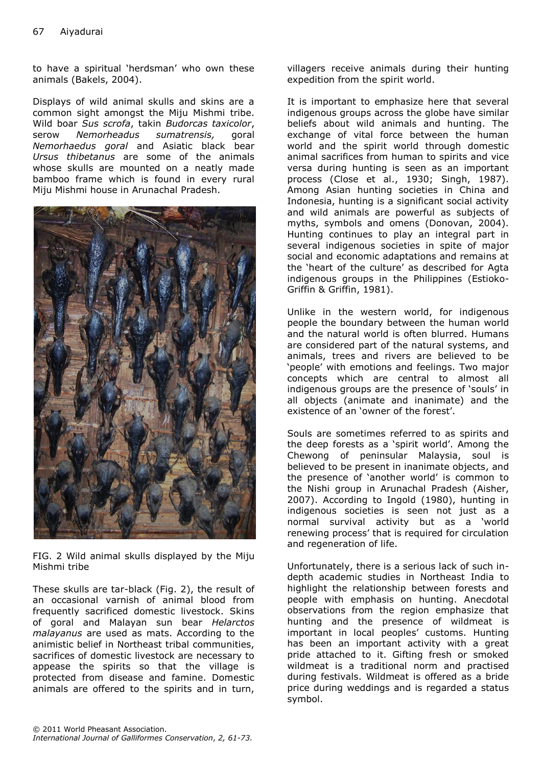to have a spiritual 'herdsman' who own these animals (Bakels, 2004).

Displays of wild animal skulls and skins are a common sight amongst the Miju Mishmi tribe. Wild boar *Sus scrofa*, takin *Budorcas taxicolor*, serow *Nemorheadus sumatrensis,* goral *Nemorhaedus goral* and Asiatic black bear *Ursus thibetanus* are some of the animals whose skulls are mounted on a neatly made bamboo frame which is found in every rural Miju Mishmi house in Arunachal Pradesh.



FIG. 2 Wild animal skulls displayed by the Miju Mishmi tribe

These skulls are tar-black (Fig. 2), the result of an occasional varnish of animal blood from frequently sacrificed domestic livestock. Skins of goral and Malayan sun bear *Helarctos malayanus* are used as mats. According to the animistic belief in Northeast tribal communities, sacrifices of domestic livestock are necessary to appease the spirits so that the village is protected from disease and famine. Domestic animals are offered to the spirits and in turn,

villagers receive animals during their hunting expedition from the spirit world.

It is important to emphasize here that several indigenous groups across the globe have similar beliefs about wild animals and hunting. The exchange of vital force between the human world and the spirit world through domestic animal sacrifices from human to spirits and vice versa during hunting is seen as an important process (Close et al., 1930; Singh, 1987). Among Asian hunting societies in China and Indonesia, hunting is a significant social activity and wild animals are powerful as subjects of myths, symbols and omens (Donovan, 2004). Hunting continues to play an integral part in several indigenous societies in spite of major social and economic adaptations and remains at the 'heart of the culture' as described for Agta indigenous groups in the Philippines (Estioko-Griffin & Griffin, 1981).

Unlike in the western world, for indigenous people the boundary between the human world and the natural world is often blurred. Humans are considered part of the natural systems, and animals, trees and rivers are believed to be 'people' with emotions and feelings. Two major concepts which are central to almost all indigenous groups are the presence of 'souls' in all objects (animate and inanimate) and the existence of an 'owner of the forest'.

Souls are sometimes referred to as spirits and the deep forests as a 'spirit world'. Among the Chewong of peninsular Malaysia, soul is believed to be present in inanimate objects, and the presence of 'another world' is common to the Nishi group in Arunachal Pradesh (Aisher, 2007). According to Ingold (1980), hunting in indigenous societies is seen not just as a normal survival activity but as a 'world renewing process' that is required for circulation and regeneration of life.

Unfortunately, there is a serious lack of such indepth academic studies in Northeast India to highlight the relationship between forests and people with emphasis on hunting. Anecdotal observations from the region emphasize that hunting and the presence of wildmeat is important in local peoples' customs. Hunting has been an important activity with a great pride attached to it. Gifting fresh or smoked wildmeat is a traditional norm and practised during festivals. Wildmeat is offered as a bride price during weddings and is regarded a status symbol.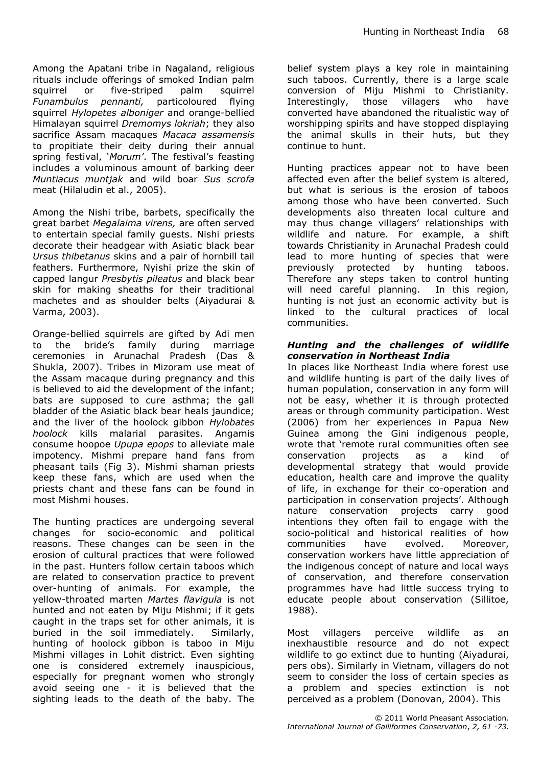Among the Apatani tribe in Nagaland, religious rituals include offerings of smoked Indian palm squirrel or five-striped palm squirrel *Funambulus pennanti,* particoloured flying squirrel *Hylopetes alboniger* and orange-bellied Himalayan squirrel *Dremomys lokriah*; they also sacrifice Assam macaques *Macaca assamensis*  to propitiate their deity during their annual spring festival, '*Morum'*. The festival's feasting includes a voluminous amount of barking deer *Muntiacus muntjak* and wild boar *Sus scrofa*  meat (Hilaludin et al., 2005).

Among the Nishi tribe, barbets, specifically the great barbet *Megalaima virens,* are often served to entertain special family guests. Nishi priests decorate their headgear with Asiatic black bear *Ursus thibetanus* skins and a pair of hornbill tail feathers. Furthermore, Nyishi prize the skin of capped langur *Presbytis pileatus* and black bear skin for making sheaths for their traditional machetes and as shoulder belts (Aiyadurai & Varma, 2003).

Orange-bellied squirrels are gifted by Adi men to the bride's family during marriage ceremonies in Arunachal Pradesh (Das & Shukla, 2007). Tribes in Mizoram use meat of the Assam macaque during pregnancy and this is believed to aid the development of the infant; bats are supposed to cure asthma; the gall bladder of the Asiatic black bear heals jaundice; and the liver of the hoolock gibbon *Hylobates hoolock* kills malarial parasites. Angamis consume hoopoe *Upupa epops* to alleviate male impotency. Mishmi prepare hand fans from pheasant tails (Fig 3). Mishmi shaman priests keep these fans, which are used when the priests chant and these fans can be found in most Mishmi houses.

The hunting practices are undergoing several changes for socio-economic and political reasons. These changes can be seen in the erosion of cultural practices that were followed in the past. Hunters follow certain taboos which are related to conservation practice to prevent over-hunting of animals. For example, the yellow-throated marten *Martes flavigula* is not hunted and not eaten by Miju Mishmi; if it gets caught in the traps set for other animals, it is buried in the soil immediately. Similarly, hunting of hoolock gibbon is taboo in Miju Mishmi villages in Lohit district. Even sighting one is considered extremely inauspicious, especially for pregnant women who strongly avoid seeing one - it is believed that the sighting leads to the death of the baby. The

belief system plays a key role in maintaining such taboos. Currently, there is a large scale conversion of Miju Mishmi to Christianity. Interestingly, those villagers who have converted have abandoned the ritualistic way of worshipping spirits and have stopped displaying the animal skulls in their huts, but they continue to hunt.

Hunting practices appear not to have been affected even after the belief system is altered, but what is serious is the erosion of taboos among those who have been converted. Such developments also threaten local culture and may thus change villagers' relationships with wildlife and nature. For example, a shift towards Christianity in Arunachal Pradesh could lead to more hunting of species that were previously protected by hunting taboos. Therefore any steps taken to control hunting will need careful planning. In this region, hunting is not just an economic activity but is linked to the cultural practices of local communities.

#### *Hunting and the challenges of wildlife conservation in Northeast India*

In places like Northeast India where forest use and wildlife hunting is part of the daily lives of human population, conservation in any form will not be easy, whether it is through protected areas or through community participation. West (2006) from her experiences in Papua New Guinea among the Gini indigenous people, wrote that 'remote rural communities often see conservation projects as a kind of developmental strategy that would provide education, health care and improve the quality of life, in exchange for their co-operation and participation in conservation projects'. Although nature conservation projects carry good intentions they often fail to engage with the socio-political and historical realities of how communities have evolved. Moreover, conservation workers have little appreciation of the indigenous concept of nature and local ways of conservation, and therefore conservation programmes have had little success trying to educate people about conservation (Sillitoe, 1988).

Most villagers perceive wildlife as an inexhaustible resource and do not expect wildlife to go extinct due to hunting (Aiyadurai, pers obs). Similarly in Vietnam, villagers do not seem to consider the loss of certain species as a problem and species extinction is not perceived as a problem (Donovan, 2004). This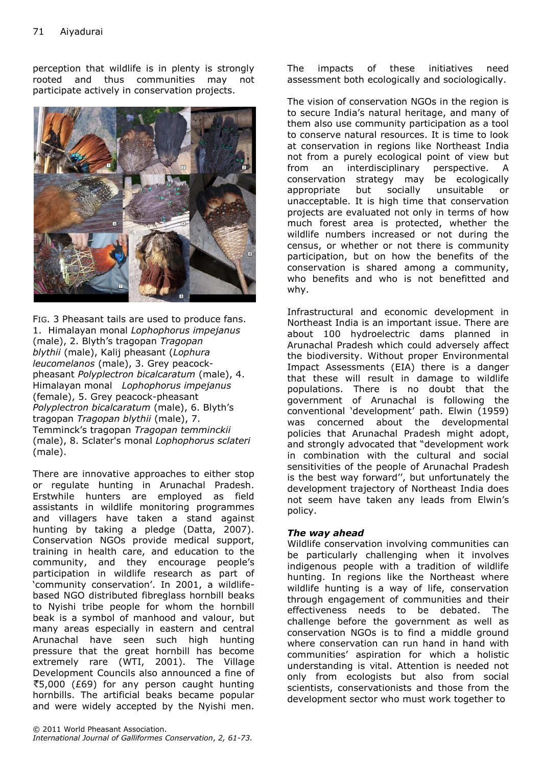perception that wildlife is in plenty is strongly rooted and thus communities may not participate actively in conservation projects.



FIG. 3 Pheasant tails are used to produce fans. 1. Himalayan monal *Lophophorus impejanus*  (male), 2. Blyth's tragopan *Tragopan blythii* (male), Kalij pheasant (*Lophura leucomelanos* (male), 3. Grey peacockpheasant *Polyplectron bicalcaratum* (male), 4. Himalayan monal *Lophophorus impejanus* (female), 5. Grey peacock-pheasant *Polyplectron bicalcaratum* (male), 6. Blyth's tragopan *Tragopan blythii* (male), 7. Temminck's tragopan *Tragopan temminckii*  (male), 8. Sclater's monal *Lophophorus sclateri* (male).

There are innovative approaches to either stop or regulate hunting in Arunachal Pradesh. Erstwhile hunters are employed as field assistants in wildlife monitoring programmes and villagers have taken a stand against hunting by taking a pledge (Datta, 2007). Conservation NGOs provide medical support, training in health care, and education to the community, and they encourage people's participation in wildlife research as part of 'community conservation'. In 2001, a wildlifebased NGO distributed fibreglass hornbill beaks to Nyishi tribe people for whom the hornbill beak is a symbol of manhood and valour, but many areas especially in eastern and central Arunachal have seen such high hunting pressure that the great hornbill has become extremely rare (WTI, 2001). The Village Development Councils also announced a fine of [5](http://en.wikipedia.org/wiki/Indian_rupee),000 (£69) for any person caught hunting hornbills. The artificial beaks became popular and were widely accepted by the Nyishi men.

The impacts of these initiatives need assessment both ecologically and sociologically.

The vision of conservation NGOs in the region is to secure India's natural heritage, and many of them also use community participation as a tool to conserve natural resources. It is time to look at conservation in regions like Northeast India not from a purely ecological point of view but from an interdisciplinary perspective. A conservation strategy may be ecologically appropriate but socially unsuitable or unacceptable. It is high time that conservation projects are evaluated not only in terms of how much forest area is protected, whether the wildlife numbers increased or not during the census, or whether or not there is community participation, but on how the benefits of the conservation is shared among a community, who benefits and who is not benefitted and why.

Infrastructural and economic development in Northeast India is an important issue. There are about 100 hydroelectric dams planned in Arunachal Pradesh which could adversely affect the biodiversity. Without proper Environmental Impact Assessments (EIA) there is a danger that these will result in damage to wildlife populations. There is no doubt that the government of Arunachal is following the conventional 'development' path. Elwin (1959) was concerned about the developmental policies that Arunachal Pradesh might adopt, and strongly advocated that "development work in combination with the cultural and social sensitivities of the people of Arunachal Pradesh is the best way forward'', but unfortunately the development trajectory of Northeast India does not seem have taken any leads from Elwin's policy.

#### *The way ahead*

Wildlife conservation involving communities can be particularly challenging when it involves indigenous people with a tradition of wildlife hunting. In regions like the Northeast where wildlife hunting is a way of life, conservation through engagement of communities and their effectiveness needs to be debated. The challenge before the government as well as conservation NGOs is to find a middle ground where conservation can run hand in hand with communities' aspiration for which a holistic understanding is vital. Attention is needed not only from ecologists but also from social scientists, conservationists and those from the development sector who must work together to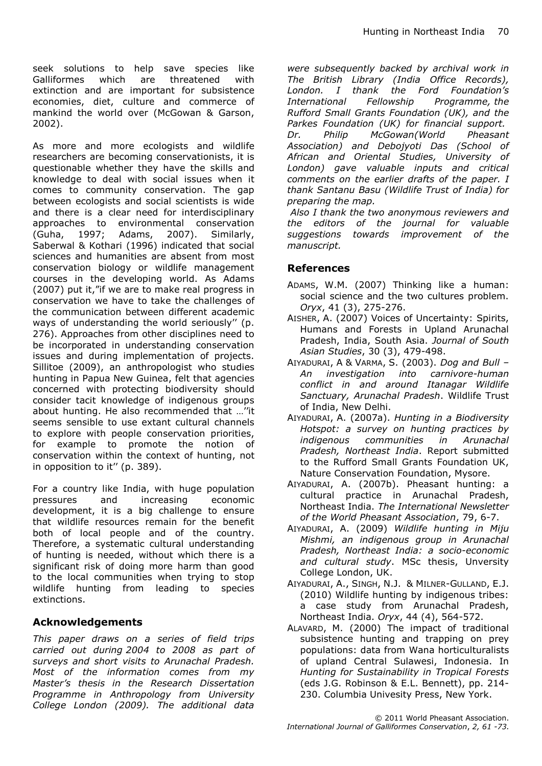seek solutions to help save species like Galliformes which are threatened with extinction and are important for subsistence economies, diet, culture and commerce of mankind the world over (McGowan & Garson, 2002).

As more and more ecologists and wildlife researchers are becoming conservationists, it is questionable whether they have the skills and knowledge to deal with social issues when it comes to community conservation. The gap between ecologists and social scientists is wide and there is a clear need for interdisciplinary approaches to environmental conservation (Guha, 1997; Adams, 2007). Similarly, Saberwal & Kothari (1996) indicated that social sciences and humanities are absent from most conservation biology or wildlife management courses in the developing world. As Adams (2007) put it,"if we are to make real progress in conservation we have to take the challenges of the communication between different academic ways of understanding the world seriously'' (p. 276). Approaches from other disciplines need to be incorporated in understanding conservation issues and during implementation of projects. Sillitoe (2009), an anthropologist who studies hunting in Papua New Guinea, felt that agencies concerned with protecting biodiversity should consider tacit knowledge of indigenous groups about hunting. He also recommended that …''it seems sensible to use extant cultural channels to explore with people conservation priorities, for example to promote the notion of conservation within the context of hunting, not in opposition to it'' (p. 389).

For a country like India, with huge population pressures and increasing economic development, it is a big challenge to ensure that wildlife resources remain for the benefit both of local people and of the country. Therefore, a systematic cultural understanding of hunting is needed, without which there is a significant risk of doing more harm than good to the local communities when trying to stop wildlife hunting from leading to species extinctions.

### **Acknowledgements**

*This paper draws on a series of field trips carried out during 2004 to 2008 as part of surveys and short visits to Arunachal Pradesh. Most of the information comes from my Master's thesis in the Research Dissertation Programme in Anthropology from University College London (2009). The additional data* 

*were subsequently backed by archival work in The British Library (India Office Records), London. I thank the Ford Foundation's International Fellowship Programme, the Rufford Small Grants Foundation (UK), and the Parkes Foundation (UK) for financial support. Dr. Philip McGowan(World Pheasant Association) and Debojyoti Das (School of African and Oriental Studies, University of London) gave valuable inputs and critical comments on the earlier drafts of the paper. I thank Santanu Basu (Wildlife Trust of India) for preparing the map.*

*Also I thank the two anonymous reviewers and the editors of the journal for valuable suggestions towards improvement of the manuscript.*

#### **References**

- ADAMS, W.M. (2007) Thinking like a human: social science and the two cultures problem. *Oryx*, 41 (3), 275-276.
- AISHER, A. (2007) Voices of Uncertainty: Spirits, Humans and Forests in Upland Arunachal Pradesh, India, South Asia. *Journal of South Asian Studies*, 30 (3), 479-498.
- AIYADURAI, A & VARMA, S. (2003). *Dog and Bull – An investigation into carnivore-human conflict in and around Itanagar Wildlife Sanctuary, Arunachal Pradesh*. Wildlife Trust of India, New Delhi.
- AIYADURAI, A. (2007a). *Hunting in a Biodiversity Hotspot: a survey on hunting practices by indigenous communities in Arunachal Pradesh, Northeast India*. Report submitted to the Rufford Small Grants Foundation UK, Nature Conservation Foundation, Mysore.
- AIYADURAI, A. (2007b). Pheasant hunting: a cultural practice in Arunachal Pradesh, Northeast India. *The International Newsletter of the World Pheasant Association*, 79, 6-7.
- AIYADURAI, A. (2009) *Wildlife hunting in Miju Mishmi, an indigenous group in Arunachal Pradesh, Northeast India: a socio-economic and cultural study*. MSc thesis, Unversity College London, UK.
- AIYADURAI, A., SINGH, N.J. & MILNER-GULLAND, E.J. (2010) Wildlife hunting by indigenous tribes: a case study from Arunachal Pradesh, Northeast India. *Oryx*, 44 (4), 564-572.
- ALAVARD, M. (2000) The impact of traditional subsistence hunting and trapping on prey populations: data from Wana horticulturalists of upland Central Sulawesi, Indonesia. In *Hunting for Sustainability in Tropical Forests*  (eds J.G. Robinson & E.L. Bennett), pp. 214- 230. Columbia Univesity Press, New York.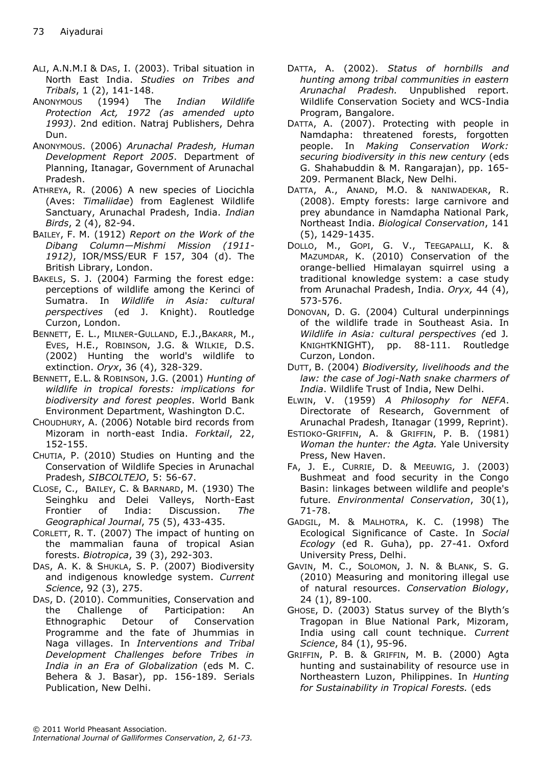- ALI, A.N.M.I & DAS, I. (2003). Tribal situation in North East India. *Studies on Tribes and Tribals*, 1 (2), 141-148.
- ANONYMOUS (1994) The *Indian Wildlife Protection Act, 1972 (as amended upto 1993)*. 2nd edition. Natraj Publishers, Dehra Dun.
- ANONYMOUS. (2006) *Arunachal Pradesh, Human Development Report 2005*. Department of Planning, Itanagar, Government of Arunachal Pradesh.
- ATHREYA, R. (2006) A new species of Liocichla (Aves: *Timaliidae*) from Eaglenest Wildlife Sanctuary, Arunachal Pradesh, India. *Indian Birds*, 2 (4), 82-94.
- BAILEY, F. M. (1912) *Report on the Work of the Dibang Column—Mishmi Mission (1911- 1912)*, IOR/MSS/EUR F 157, 304 (d). The British Library, London.
- BAKELS, S. J. (2004) Farming the forest edge: perceptions of wildlife among the Kerinci of Sumatra. In *Wildlife in Asia: cultural perspectives* (ed J. Knight). Routledge Curzon, London.
- BENNETT, E. L., MILNER-GULLAND, E.J.,BAKARR, M., EVES, H.E., ROBINSON, J.G. & WILKIE, D.S. (2002) Hunting the world's wildlife to extinction. *Oryx*, 36 (4), 328-329.
- BENNETT, E.L. & ROBINSON, J.G. (2001) *Hunting of wildlife in tropical forests: implications for biodiversity and forest peoples*. World Bank Environment Department, Washington D.C.
- CHOUDHURY, A. (2006) Notable bird records from Mizoram in north-east India. *Forktail*, 22, 152-155.
- CHUTIA, P. (2010) Studies on Hunting and the Conservation of Wildlife Species in Arunachal Pradesh, *SIBCOLTEJO*, 5: 56-67.
- CLOSE, C., BAILEY, C. & BARNARD, M. (1930) The Seinghku and Delei Valleys, North-East Frontier of India: Discussion. *The Geographical Journal*, 75 (5), 433-435.
- CORLETT, R. T.  $(2007)$  The impact of hunting on the mammalian fauna of tropical Asian forests. *Biotropica*, 39 (3), 292-303.
- DAS, A. K. & SHUKLA, S. P. (2007) Biodiversity and indigenous knowledge system. *Current Science*, 92 (3), 275.
- DAS, D. (2010). Communities, Conservation and the Challenge of Participation: An Ethnographic Detour of Conservation Programme and the fate of Jhummias in Naga villages. In *Interventions and Tribal Development Challenges before Tribes in India in an Era of Globalization* (eds M. C. Behera & J. Basar), pp. 156-189. Serials Publication, New Delhi.
- DATTA, A. (2002). *Status of hornbills and hunting among tribal communities in eastern Arunachal Pradesh.* Unpublished report. Wildlife Conservation Society and WCS-India Program, Bangalore.
- DATTA, A. (2007). Protecting with people in Namdapha: threatened forests, forgotten people. In *Making Conservation Work: securing biodiversity in this new century* (eds G. Shahabuddin & M. Rangarajan), pp. 165- 209. Permanent Black, New Delhi.
- DATTA, A., ANAND, M.O. & NANIWADEKAR, R. (2008). Empty forests: large carnivore and prey abundance in Namdapha National Park, Northeast India. *Biological Conservation*, 141 (5), 1429-1435.
- DOLLO, M., GOPI, G. V., TEEGAPALLI, K. & MAZUMDAR, K. (2010) Conservation of the orange-bellied Himalayan squirrel using a traditional knowledge system: a case study from Arunachal Pradesh, India. *Oryx,* 44 (4), 573-576.
- DONOVAN, D. G. (2004) Cultural underpinnings of the wildlife trade in Southeast Asia. In *Wildlife in Asia: cultural perspectives (*ed J*.*  KNIGHTKNIGHT), pp. 88-111. Routledge Curzon, London.
- DUTT, B. (2004) *Biodiversity, livelihoods and the law: the case of Jogi-Nath snake charmers of India*. Wildlife Trust of India, New Delhi.
- ELWIN, V. (1959) *A Philosophy for NEFA*. Directorate of Research, Government of Arunachal Pradesh, Itanagar (1999, Reprint).
- ESTIOKO-GRIFFIN, A. & GRIFFIN, P. B. (1981) *Woman the hunter: the Agta.* Yale University Press, New Haven.
- FA, J. E., CURRIE, D. & MEEUWIG, J. (2003) Bushmeat and food security in the Congo Basin: linkages between wildlife and people's future. *Environmental Conservation*, 30(1), 71-78.
- GADGIL, M. & MALHOTRA, K. C. (1998) The Ecological Significance of Caste. In *Social Ecology* (ed R. Guha), pp. 27-41. Oxford University Press, Delhi.
- GAVIN, M. C., SOLOMON, J. N. & BLANK, S. G. (2010) Measuring and monitoring illegal use of natural resources. *Conservation Biology*, 24 (1), 89-100.
- GHOSE, D. (2003) Status survey of the Blyth's Tragopan in Blue National Park, Mizoram, India using call count technique. *Current Science*, 84 (1), 95-96.
- GRIFFIN, P. B. & GRIFFIN, M. B. (2000) Agta hunting and sustainability of resource use in Northeastern Luzon, Philippines. In *Hunting for Sustainability in Tropical Forests.* (eds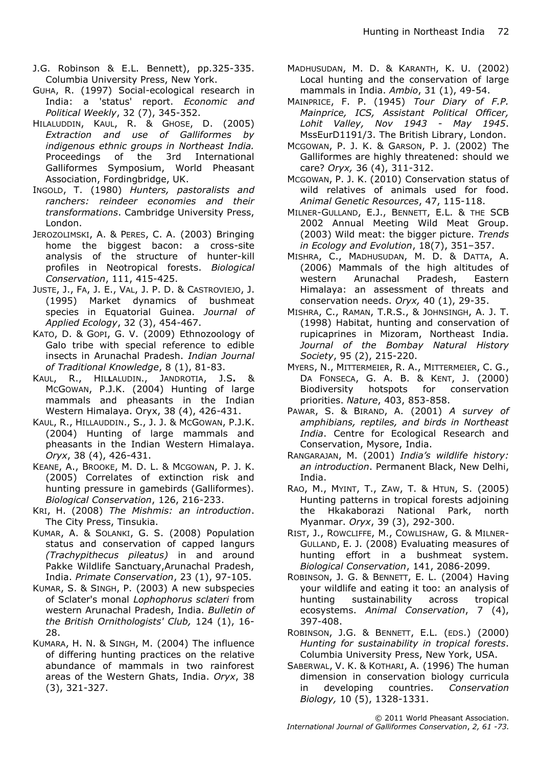- J.G. Robinson & E.L. Bennett), pp.325-335. Columbia University Press, New York.
- GUHA, R. (1997) Social-ecological research in India: a 'status' report. *Economic and Political Weekly*, 32 (7), 345-352.
- HILALUDDIN, KAUL, R. & GHOSE, D. (2005) *Extraction and use of Galliformes by indigenous ethnic groups in Northeast India.* Proceedings of the 3rd International Galliformes Symposium, World Pheasant Association, Fordingbridge, UK.
- INGOLD, T. (1980) *Hunters, pastoralists and ranchers: reindeer economies and their transformations*. Cambridge University Press, London.
- JEROZOLIMSKI, A. & PERES, C. A. (2003) Bringing home the biggest bacon: a cross-site analysis of the structure of hunter-kill profiles in Neotropical forests. *Biological Conservation*, 111, 415-425.
- JUSTE, J., FA, J. E., VAL, J. P. D. & CASTROVIEJO, J. (1995) Market dynamics of bushmeat species in Equatorial Guinea. *Journal of Applied Ecology*, 32 (3), 454-467.
- KATO, D. & GOPI, G. V. (2009) Ethnozoology of Galo tribe with special reference to edible insects in Arunachal Pradesh. *Indian Journal of Traditional Knowledge*, 8 (1), 81-83.
- KAUL, R., HIL**L**ALUDIN., JANDROTIA, J.S**.** & MCGOWAN, P.J.K. (2004) Hunting of large mammals and pheasants in the Indian Western Himalaya. Oryx, 38 (4), 426-431.
- KAUL, R., HILLAUDDIN., S., J. J. & MCGOWAN, P.J.K. (2004) Hunting of large mammals and pheasants in the Indian Western Himalaya. *Oryx*, 38 (4), 426-431.
- KEANE, A., BROOKE, M. D. L. & MCGOWAN, P. J. K. (2005) Correlates of extinction risk and hunting pressure in gamebirds (Galliformes). *Biological Conservation*, 126, 216-233.
- KRI, H. (2008) *The Mishmis: an introduction*. The City Press, Tinsukia.
- KUMAR, A. & SOLANKI, G. S. (2008) Population status and conservation of capped langurs *(Trachypithecus pileatus)* in and around Pakke Wildlife Sanctuary,Arunachal Pradesh, India. *Primate Conservation*, 23 (1), 97-105.
- KUMAR, S. & SINGH, P. (2003) A new subspecies of Sclater's monal *Lophophorus sclateri* from western Arunachal Pradesh, India. *Bulletin of the British Ornithologists' Club,* 124 (1), 16- 28.
- KUMARA, H. N. & SINGH, M. (2004) The influence of differing hunting practices on the relative abundance of mammals in two rainforest areas of the Western Ghats, India. *Oryx*, 38 (3), 321-327.
- MADHUSUDAN, M. D. & KARANTH, K. U. (2002) Local hunting and the conservation of large mammals in India. *Ambio*, 31 (1), 49-54.
- MAINPRICE, F. P. (1945) *Tour Diary of F.P. Mainprice, ICS, Assistant Political Officer, Lohit Valley, Nov 1943 - May 1945*. MssEurD1191/3. The British Library, London.
- MCGOWAN, P. J. K. & GARSON, P. J. (2002) The Galliformes are highly threatened: should we care? *Oryx,* 36 (4), 311-312.
- MCGOWAN, P. J. K. (2010) Conservation status of wild relatives of animals used for food. *Animal Genetic Resources*, 47, 115-118.
- MILNER-GULLAND, E.J., BENNETT, E.L. & THE SCB 2002 Annual Meeting Wild Meat Group. (2003) Wild meat: the bigger picture. *Trends in Ecology and Evolution*, 18(7), 351–357.
- MISHRA, C., MADHUSUDAN, M. D. & DATTA, A. (2006) Mammals of the high altitudes of western Arunachal Pradesh, Eastern Himalaya: an assessment of threats and conservation needs. *Oryx,* 40 (1), 29-35.
- MISHRA, C., RAMAN, T.R.S., & JOHNSINGH, A. J. T. (1998) Habitat, hunting and conservation of rupicaprines in Mizoram, Northeast India*. Journal of the Bombay Natural History Society*, 95 (2), 215-220.
- MYERS, N., MITTERMEIER, R. A., MITTERMEIER, C. G., DA FONSECA, G. A. B. & KENT, J. (2000) Biodiversity hotspots for conservation priorities. *Nature*, 403, 853-858.
- PAWAR, S. & BIRAND, A. (2001) *A survey of amphibians, reptiles, and birds in Northeast India*. Centre for Ecological Research and Conservation, Mysore, India.
- RANGARAJAN, M. (2001) *India's wildlife history: an introduction*. Permanent Black, New Delhi, India.
- RAO, M., MYINT, T., ZAW, T. & HTUN, S. (2005) Hunting patterns in tropical forests adjoining the Hkakaborazi National Park, north Myanmar. *Oryx*, 39 (3), 292-300.
- RIST, J., ROWCLIFFE, M., COWLISHAW, G. & MILNER-GULLAND, E. J. (2008) Evaluating measures of hunting effort in a bushmeat system. *Biological Conservation*, 141, 2086-2099.
- ROBINSON, J. G. & BENNETT, E. L. (2004) Having your wildlife and eating it too: an analysis of hunting sustainability across tropical ecosystems. *Animal Conservation*, 7 (4), 397-408.
- ROBINSON, J.G. & BENNETT, E.L. (EDS.) (2000) *Hunting for sustainability in tropical forests*. Columbia University Press, New York, USA.
- SABERWAL, V. K. & KOTHARI, A. (1996) The human dimension in conservation biology curricula in developing countries. *Conservation Biology,* 10 (5), 1328-1331.

© 2011 World Pheasant Association. *International Journal of Galliformes Conservation*, *2, 61 -73.*